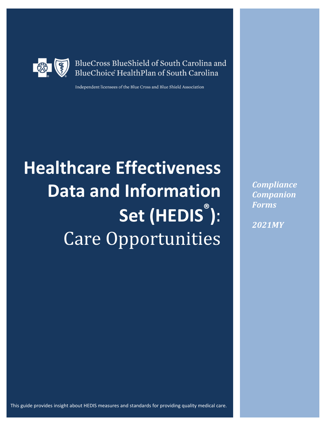

BlueCross BlueShield of South Carolina and BlueChoice HealthPlan of South Carolina

Independent licensees of the Blue Cross and Blue Shield Association

# **Healthcare Effectiveness Data and Information Set (HEDIS® )**: Care Opportunities

*Compliance Companion Forms*

*2021MY*

This guide provides insight about HEDIS measures and standards for providing quality medical care.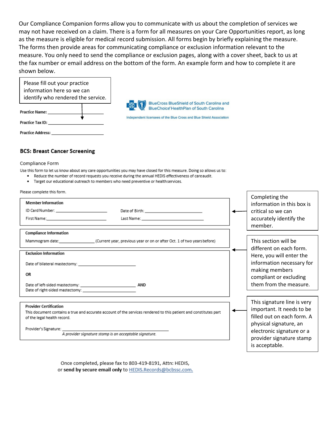Our Compliance Companion forms allow you to communicate with us about the completion of services we may not have received on a claim. There is a form for all measures on your Care Opportunities report, as long as the measure is eligible for medical record submission. All forms begin by briefly explaining the measure. The forms then provide areas for communicating compliance or exclusion information relevant to the measure. You only need to send the compliance or exclusion pages, along with a cover sheet, back to us at the fax number or email address on the bottom of the form. An example form and how to complete it are shown below.

| Please fill out your practice<br>information here so we can<br>identify who rendered the service. | <b>BlueCross BlueShield of South Carolina and</b>                                                               |
|---------------------------------------------------------------------------------------------------|-----------------------------------------------------------------------------------------------------------------|
| Practice Name:                                                                                    | BlueChoice' HealthPlan of South Carolina<br>Independent licensees of the Blue Cross and Blue Shield Association |
| Practice Tax ID:                                                                                  |                                                                                                                 |
| <b>Practice Address:</b>                                                                          |                                                                                                                 |

#### **BCS: Breast Cancer Screening**

#### Compliance Form

Use this form to let us know about any care opportunities you may have closed for this measure. Doing so allows us to:

- . Reduce the number of record requests you receive during the annual HEDIS effectiveness of careaudit.
- · Target our educational outreach to members who need preventive or health services.

| Please complete this form.                                                                                                                                                                                                                 |                                                                                                                                                                                             |
|--------------------------------------------------------------------------------------------------------------------------------------------------------------------------------------------------------------------------------------------|---------------------------------------------------------------------------------------------------------------------------------------------------------------------------------------------|
| <b>Member Information</b><br>ID Card Number: ____________________________<br>Date of Birth: _________________________________                                                                                                              | Completing the<br>information in this box is<br>critical so we can<br>accurately identify the<br>member.                                                                                    |
| <b>Compliance Information</b><br>Mammogram date: ________________________(Current year, previous year or on or after Oct. 1 of two years before)                                                                                           | This section will be<br>different on each form.                                                                                                                                             |
| <b>Exclusion Information</b><br>Date of bilateral mastectomy: New York Channels and the control of the control of<br>OR                                                                                                                    | Here, you will enter the<br>information necessary for<br>making members<br>compliant or excluding                                                                                           |
| Date of left-sided mastectomy: AND                                                                                                                                                                                                         | them from the measure.                                                                                                                                                                      |
| <b>Provider Certification</b><br>This document contains a true and accurate account of the services rendered to this patient and constitutes part<br>of the legal health record.<br>A provider signature stamp is an acceptable signature. | This signature line is very<br>important. It needs to be<br>filled out on each form. A<br>physical signature, an<br>electronic signature or a<br>provider signature stamp<br>is acceptable. |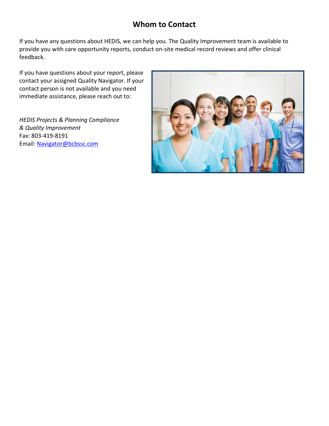# **Whom to Contact**

If you have any questions about HEDIS, we can help you. The Quality Improvement team is available to provide you with care opportunity reports, conduct on-site medical record reviews and offer clinical feedback.

If you have questions about your report, please contact your assigned Quality Navigator. If your contact person is not available and you need immediate assistance, please reach out to:

*HEDIS Projects & Planning Compliance & Quality Improvement*  Fax: 803-419-8191 Email: [Navigator@bcbssc.com](mailto:Navigator@bcbssc.com)

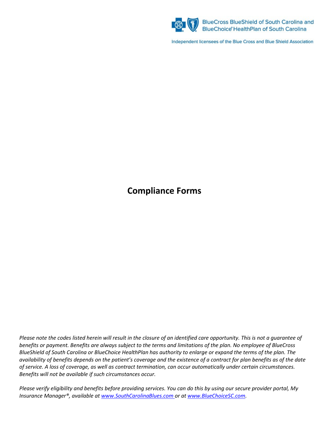

BlueCross BlueShield of South Carolina and<br>BlueChoice' HealthPlan of South Carolina

Independent licensees of the Blue Cross and Blue Shield Association

# **Compliance Forms**

*Please note the codes listed herein will result in the closure of an identified care opportunity. This is not a guarantee of benefits or payment. Benefits are always subject to the terms and limitations of the plan. No employee of BlueCross BlueShield of South Carolina or BlueChoice HealthPlan has authority to enlarge or expand the terms of the plan. The availability of benefits depends on the patient's coverage and the existence of a contract for plan benefits as of the date of service. A loss of coverage, as well as contract termination, can occur automatically under certain circumstances. Benefits will not be available if such circumstances occur.*

*Please verify eligibility and benefits before providing services. You can do this by using our secure provider portal, My Insurance Manager®, available at [www.SouthCarolinaBlues.com o](http://www.southcarolinablues.com/)r at [www.BlueChoiceSC.com.](http://www.bluechoicesc.com/)*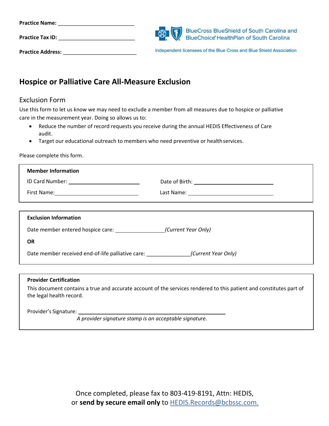| <b>Practice Name:</b>    |                                                                                                                                         |
|--------------------------|-----------------------------------------------------------------------------------------------------------------------------------------|
| <b>Practice Tax ID:</b>  | BlueCross BlueShield of South Carolina and<br>BlueChoice HealthPlan of South Carolina<br><b>BlueChoice HealthPlan of South Carolina</b> |
| <b>Practice Address:</b> | Independent licensees of the Blue Cross and Blue Shield Association                                                                     |

# **Hospice or Palliative Care All-Measure Exclusion**

#### Exclusion Form

Use this form to let us know we may need to exclude a member from all measures due to hospice or palliative care in the measurement year. Doing so allows us to:

- Reduce the number of record requests you receive during the annual HEDIS Effectiveness of Care audit.
- Target our educational outreach to members who need preventive or health services.

Please complete this form.

| <b>Member Information</b>                                             |  |
|-----------------------------------------------------------------------|--|
|                                                                       |  |
|                                                                       |  |
|                                                                       |  |
| <b>Exclusion Information</b>                                          |  |
| Date member entered hospice care: (Current Year Only)                 |  |
| <b>OR</b>                                                             |  |
| Date member received end-of-life palliative care: (Current Year Only) |  |
|                                                                       |  |

#### **Provider Certification**

This document contains a true and accurate account of the services rendered to this patient and constitutes part of the legal health record.

Provider's Signature:

*A provider signature stamp is an acceptable signature.*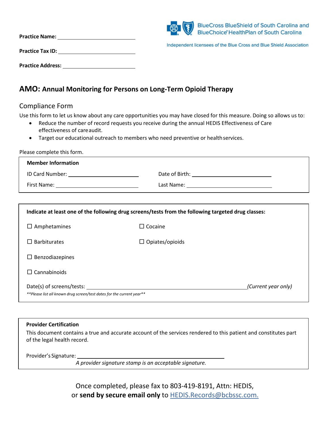| <b>Practice Name:</b>    | (3) | <b>BlueCross BlueShield of South Carolina and</b><br>BlueChoice' HealthPlan of South Carolina |
|--------------------------|-----|-----------------------------------------------------------------------------------------------|
| <b>Practice Tax ID:</b>  |     | Independent licensees of the Blue Cross and Blue Shield Association                           |
| <b>Practice Address:</b> |     |                                                                                               |

## **AMO: Annual Monitoring for Persons on Long-Term Opioid Therapy**

#### Compliance Form

Use this form to let us know about any care opportunities you may have closed for this measure. Doing so allows us to:

- Reduce the number of record requests you receive during the annual HEDIS Effectiveness of Care effectiveness of careaudit.
- Target our educational outreach to members who need preventive or health services.

Please complete this form.

| <b>Member Information</b> |                |
|---------------------------|----------------|
| ID Card Number:           | Date of Birth: |
| First Name:               | Last Name:     |

| Indicate at least one of the following drug screens/tests from the following targeted drug classes: |                        |                     |
|-----------------------------------------------------------------------------------------------------|------------------------|---------------------|
| $\Box$ Amphetamines                                                                                 | Cocaine<br>П           |                     |
| <b>Barbiturates</b>                                                                                 | $\Box$ Opiates/opioids |                     |
| Benzodiazepines                                                                                     |                        |                     |
| $\Box$ Cannabinoids                                                                                 |                        |                     |
| Date(s) of screens/tests:<br>**Please list all known drug screen/test dates for the current year**  |                        | (Current year only) |

#### **Provider Certification**

This document contains a true and accurate account of the services rendered to this patient and constitutes part of the legal health record.

Provider's Signature:

*A provider signature stamp is an acceptable signature.*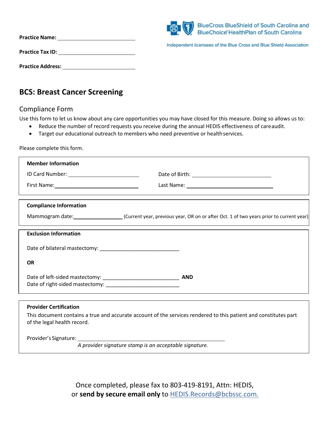|                          | (8) | <b>BlueCross BlueShield of South Carolina and</b><br><b>BlueChoice' HealthPlan of South Carolina</b> |
|--------------------------|-----|------------------------------------------------------------------------------------------------------|
| <b>Practice Name:</b>    |     | Independent licensees of the Blue Cross and Blue Shield Association                                  |
| <b>Practice Tax ID:</b>  |     |                                                                                                      |
| <b>Practice Address:</b> |     |                                                                                                      |

## **BCS: Breast Cancer Screening**

## Compliance Form

Use this form to let us know about any care opportunities you may have closed for this measure. Doing so allows us to:

- Reduce the number of record requests you receive during the annual HEDIS effectiveness of careaudit.
- Target our educational outreach to members who need preventive or healthservices.

Please complete this form.

| <b>Member Information</b>     |                                                                                                                  |  |
|-------------------------------|------------------------------------------------------------------------------------------------------------------|--|
|                               |                                                                                                                  |  |
|                               |                                                                                                                  |  |
|                               |                                                                                                                  |  |
| <b>Compliance Information</b> |                                                                                                                  |  |
|                               | Mammogram date: [10] (Current year, previous year, OR on or after Oct. 1 of two years prior to current year)     |  |
| <b>Exclusion Information</b>  |                                                                                                                  |  |
|                               |                                                                                                                  |  |
| <b>OR</b>                     |                                                                                                                  |  |
|                               |                                                                                                                  |  |
|                               |                                                                                                                  |  |
|                               |                                                                                                                  |  |
| <b>Provider Certification</b> |                                                                                                                  |  |
| of the legal health record.   | This document contains a true and accurate account of the services rendered to this patient and constitutes part |  |

Provider's Signature:

*A provider signature stamp is an acceptable signature.*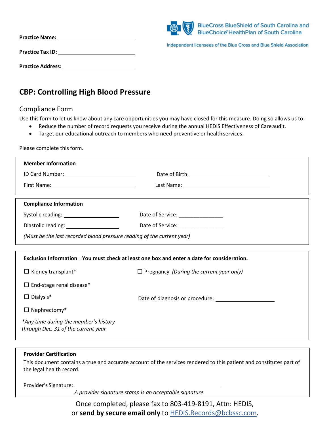|                          | (8) | <b>BlueCross BlueShield of South Carolina and</b><br>BlueChoice' HealthPlan of South Carolina |
|--------------------------|-----|-----------------------------------------------------------------------------------------------|
| <b>Practice Name:</b>    |     | Independent licensees of the Blue Cross and Blue Shield Association                           |
| <b>Practice Tax ID:</b>  |     |                                                                                               |
| <b>Practice Address:</b> |     |                                                                                               |

# **CBP: Controlling High Blood Pressure**

## Compliance Form

Use this form to let us know about any care opportunities you may have closed for this measure. Doing so allows us to:

- Reduce the number of record requests you receive during the annual HEDIS Effectiveness of Careaudit.
- Target our educational outreach to members who need preventive or health services.

Please complete this form.

| <b>Member Information</b>                                              |                                                                                             |
|------------------------------------------------------------------------|---------------------------------------------------------------------------------------------|
|                                                                        |                                                                                             |
|                                                                        |                                                                                             |
|                                                                        |                                                                                             |
| <b>Compliance Information</b>                                          |                                                                                             |
| Systolic reading: ______________________                               | Date of Service: ________________                                                           |
| Diastolic reading: _____________________                               | Date of Service: ________________                                                           |
| (Must be the last recorded blood pressure reading of the current year) |                                                                                             |
|                                                                        |                                                                                             |
|                                                                        | Exclusion Information – You must check at least one box and enter a date for consideration. |
| $\Box$ Kidney transplant*                                              | $\Box$ Pregnancy (During the current year only)                                             |
| $\Box$ End-stage renal disease*                                        |                                                                                             |
| $\Box$ Dialysis*                                                       |                                                                                             |
| $\Box$ Nephrectomy*                                                    |                                                                                             |
| *Any time during the member's history                                  |                                                                                             |
| through Dec. 31 of the current year                                    |                                                                                             |
|                                                                        |                                                                                             |

#### **Provider Certification**

This document contains a true and accurate account of the services rendered to this patient and constitutes part of the legal health record.

Provider's Signature:

*A provider signature stamp is an acceptable signature.*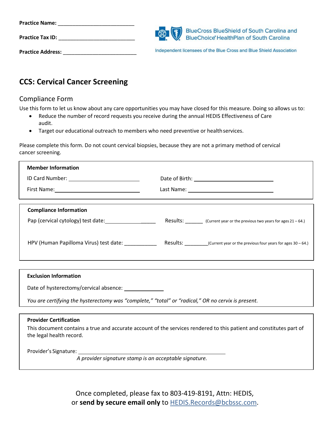| <b>Practice Name:</b>    |                                                                                       |
|--------------------------|---------------------------------------------------------------------------------------|
| <b>Practice Tax ID:</b>  | BlueCross BlueShield of South Carolina and<br>BlueChoice HealthPlan of South Carolina |
| <b>Practice Address:</b> | Independent licensees of the Blue Cross and Blue Shield Association                   |

# **CCS: Cervical Cancer Screening**

## Compliance Form

Use this form to let us know about any care opportunities you may have closed for this measure. Doing so allows us to:

- Reduce the number of record requests you receive during the annual HEDIS Effectiveness of Care audit.
- Target our educational outreach to members who need preventive or health services.

Please complete this form. D*o* not count cervical biopsies, because they are not a primary method of cervical cancer screening.

| <b>Member Information</b>              |                                                                        |
|----------------------------------------|------------------------------------------------------------------------|
|                                        |                                                                        |
|                                        |                                                                        |
|                                        |                                                                        |
| <b>Compliance Information</b>          |                                                                        |
| Pap (cervical cytology) test date:     | Results: (Current year or the previous two years for ages 21 - 64.)    |
|                                        |                                                                        |
| HPV (Human Papilloma Virus) test date: | Results: $(Current year or the previous four years for ages 30 - 64.)$ |
|                                        |                                                                        |

#### **Exclusion Information**

Date of hysterectomy/cervical absence:

*You are certifying the hysterectomy was "complete," "total" or "radical," OR no cervix is present.* 

#### **Provider Certification**

This document contains a true and accurate account of the services rendered to this patient and constitutes part of the legal health record.

Provider's Signature:

*A provider signature stamp is an acceptable signature.*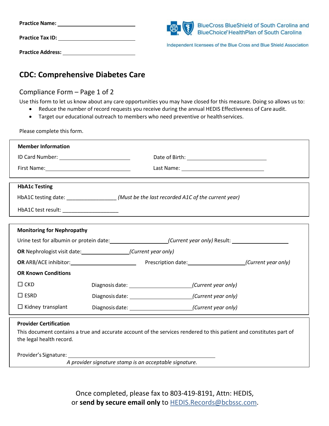| <b>Practice Name:</b>    | BlueCross BlueShield of South Carolina and<br>BlueChoice HealthPlan of South Carolina |
|--------------------------|---------------------------------------------------------------------------------------|
| <b>Practice Tax ID:</b>  | Independent licensees of the Blue Cross and Blue Shield Association                   |
| <b>Practice Address:</b> |                                                                                       |

# **CDC: Comprehensive Diabetes Care**

## Compliance Form – Page 1 of 2

Use this form to let us know about any care opportunities you may have closed for this measure. Doing so allows us to:

- Reduce the number of record requests you receive during the annual HEDIS Effectiveness of Care audit.
- Target our educational outreach to members who need preventive or healthservices.

Please complete this form.

| <b>Member Information</b>                                                                                      |                                                                                                                     |  |
|----------------------------------------------------------------------------------------------------------------|---------------------------------------------------------------------------------------------------------------------|--|
|                                                                                                                |                                                                                                                     |  |
|                                                                                                                | Last Name: ___________________________________                                                                      |  |
|                                                                                                                |                                                                                                                     |  |
| <b>HbA1c Testing</b>                                                                                           |                                                                                                                     |  |
|                                                                                                                | HbA1C testing date: __________________(Must be the last recorded A1C of the current year)                           |  |
| HbA1C test result: _______________________                                                                     | <u> 1980 - Jan Barnett, fransk politiker (d. 1980)</u>                                                              |  |
|                                                                                                                |                                                                                                                     |  |
| <b>Monitoring for Nephropathy</b>                                                                              |                                                                                                                     |  |
|                                                                                                                | Urine test for albumin or protein date: ________________________(Current year only) Result: __________________      |  |
| <b>OR</b> Nephrologist visit date: (Current year only)                                                         |                                                                                                                     |  |
|                                                                                                                |                                                                                                                     |  |
| <b>OR Known Conditions</b>                                                                                     |                                                                                                                     |  |
| $\Box$ CKD                                                                                                     |                                                                                                                     |  |
| $\square$ ESRD                                                                                                 | Diagnosis date: (Current year only)                                                                                 |  |
| $\Box$ Kidney transplant                                                                                       |                                                                                                                     |  |
| <b>Provider Certification</b>                                                                                  |                                                                                                                     |  |
|                                                                                                                | This document contains a true and accurate account of the services rendered to this patient and constitutes part of |  |
| the legal health record.                                                                                       |                                                                                                                     |  |
| Provider's Signature: The control of the control of the control of the control of the control of the control o |                                                                                                                     |  |
|                                                                                                                | A provider signature stamp is an acceptable signature.                                                              |  |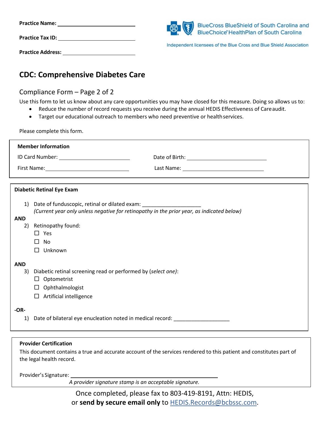| <b>Practice Name:</b>    | BlueCross BlueShield of South Carolina and<br>BlueChoice HealthPlan of South Carolina |
|--------------------------|---------------------------------------------------------------------------------------|
| <b>Practice Tax ID:</b>  | Independent licensees of the Blue Cross and Blue Shield Association                   |
| <b>Practice Address:</b> |                                                                                       |

# **CDC: Comprehensive Diabetes Care**

## Compliance Form – Page 2 of 2

Use this form to let us know about any care opportunities you may have closed for this measure. Doing so allows us to:

- Reduce the number of record requests you receive during the annual HEDIS Effectiveness of Careaudit.
- Target our educational outreach to members who need preventive or healthservices.

Please complete this form.

| <b>Member Information</b>                                      |                                                                                           |  |
|----------------------------------------------------------------|-------------------------------------------------------------------------------------------|--|
|                                                                |                                                                                           |  |
|                                                                |                                                                                           |  |
|                                                                |                                                                                           |  |
| <b>Diabetic Retinal Eye Exam</b>                               |                                                                                           |  |
| Date of funduscopic, retinal or dilated exam:<br>1)            | (Current year only unless negative for retinopathy in the prior year, as indicated below) |  |
| <b>AND</b><br>2)                                               |                                                                                           |  |
| Retinopathy found:<br>$\square$ Yes                            |                                                                                           |  |
| п<br>No                                                        |                                                                                           |  |
| Unknown<br>П                                                   |                                                                                           |  |
| <b>AND</b>                                                     |                                                                                           |  |
| 3)                                                             | Diabetic retinal screening read or performed by (select one):                             |  |
| $\Box$ Optometrist                                             |                                                                                           |  |
| Ophthalmologist<br>$\Box$<br>Artificial intelligence<br>$\Box$ |                                                                                           |  |
|                                                                |                                                                                           |  |
| $-OR-$                                                         |                                                                                           |  |
| 1)                                                             | Date of bilateral eye enucleation noted in medical record: _____________________          |  |
|                                                                |                                                                                           |  |

#### **Provider Certification**

This document contains a true and accurate account of the services rendered to this patient and constitutes part of the legal health record.

Provider's Signature:

*A provider signature stamp is an acceptable signature.*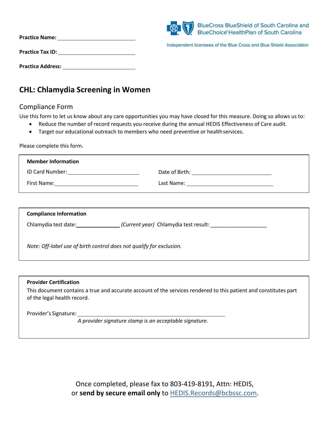|                          | (8) | <b>BlueCross BlueShield of South Carolina and</b><br>BlueChoice' HealthPlan of South Carolina |
|--------------------------|-----|-----------------------------------------------------------------------------------------------|
| <b>Practice Name:</b>    |     | Independent licensees of the Blue Cross and Blue Shield Association                           |
| <b>Practice Tax ID:</b>  |     |                                                                                               |
| <b>Practice Address:</b> |     |                                                                                               |

# **CHL: Chlamydia Screening in Women**

#### Compliance Form

Use this form to let us know about any care opportunities you may have closed for this measure. Doing so allows us to:

- Reduce the number of record requests you receive during the annual HEDIS Effectiveness of Care audit.
- Target our educational outreach to members who need preventive or healthservices.

Please complete this form.

| <b>Member Information</b>                        |                                                            |
|--------------------------------------------------|------------------------------------------------------------|
|                                                  |                                                            |
| First Name: <u>_____________________________</u> |                                                            |
|                                                  |                                                            |
|                                                  |                                                            |
| <b>Compliance Information</b>                    |                                                            |
|                                                  | Chlamydia test date: (Current year) Chlamydia test result: |

*Note: Off-label use of birth control does not qualify for exclusion.*

#### **Provider Certification**

This document contains a true and accurate account of the services rendered to this patient and constitutes part of the legal health record.

Provider's Signature:

*A provider signature stamp is an acceptable signature.*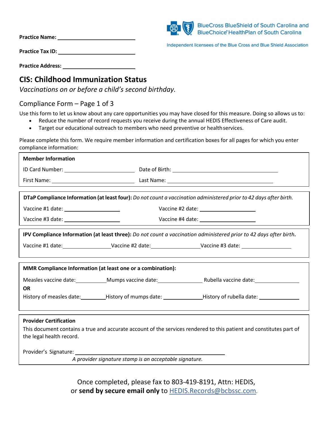| <b>Practice Name:</b> |  |
|-----------------------|--|
|                       |  |



Independent licensees of the Blue Cross and Blue Shield Association

**Practice Tax ID:**

**Practice Address:**

## **CIS: Childhood Immunization Status**

*Vaccinations on or before a child's second birthday.*

## Compliance Form – Page 1 of 3

Use this form to let us know about any care opportunities you may have closed for this measure. Doing so allows us to:

- Reduce the number of record requests you receive during the annual HEDIS Effectiveness of Care audit.
- Target our educational outreach to members who need preventive or health services.

Please complete this form. We require member information and certification boxes for all pages for which you enter compliance information:

| <b>Member Information</b>                                                                                            |                                                        |                                                                                                                                        |
|----------------------------------------------------------------------------------------------------------------------|--------------------------------------------------------|----------------------------------------------------------------------------------------------------------------------------------------|
|                                                                                                                      |                                                        |                                                                                                                                        |
|                                                                                                                      |                                                        |                                                                                                                                        |
|                                                                                                                      |                                                        |                                                                                                                                        |
| DTaP Compliance Information (at least four): Do not count a vaccination administered prior to 42 days after birth.   |                                                        |                                                                                                                                        |
|                                                                                                                      |                                                        |                                                                                                                                        |
|                                                                                                                      |                                                        |                                                                                                                                        |
| IPV Compliance Information (at least three): Do not count a vaccination administered prior to 42 days after birth.   |                                                        |                                                                                                                                        |
| Vaccine #1 date: _______________________Vaccine #2 date: _______________________Vaccine #3 date: ___________________ |                                                        |                                                                                                                                        |
|                                                                                                                      |                                                        |                                                                                                                                        |
| MMR Compliance Information (at least one or a combination):                                                          |                                                        |                                                                                                                                        |
|                                                                                                                      |                                                        | Measles vaccine date: ____________Mumps vaccine date: ___________________________Rubella vaccine date: _______________________________ |
| <b>OR</b>                                                                                                            |                                                        |                                                                                                                                        |
|                                                                                                                      |                                                        | History of measles date: ___________History of mumps date: ___________________History of rubella date: _____________                   |
|                                                                                                                      |                                                        |                                                                                                                                        |
| <b>Provider Certification</b>                                                                                        |                                                        |                                                                                                                                        |
|                                                                                                                      |                                                        | This document contains a true and accurate account of the services rendered to this patient and constitutes part of                    |
| the legal health record.                                                                                             |                                                        |                                                                                                                                        |
|                                                                                                                      |                                                        |                                                                                                                                        |
|                                                                                                                      | A provider signature stamp is an acceptable signature. |                                                                                                                                        |
|                                                                                                                      |                                                        |                                                                                                                                        |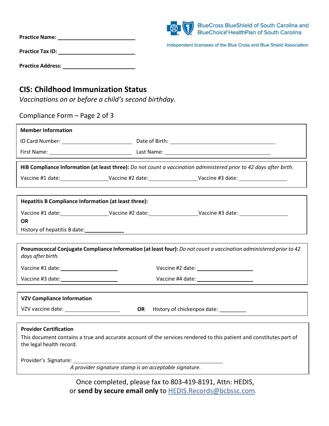| <b>Practice Name:</b>    | BlueCross BlueShield of South Carolina and<br>$\circ$ $\circ$<br>BlueChoice' HealthPlan of South Carolina |
|--------------------------|-----------------------------------------------------------------------------------------------------------|
| <b>Practice Tax ID:</b>  | Independent licensees of the Blue Cross and Blue Shield Association                                       |
| <b>Practice Address:</b> |                                                                                                           |

# **CIS: Childhood Immunization Status**

*Vaccinations on or before a child's second birthday.*

## Compliance Form – Page 2 of 3

| <b>Member Information</b>                            |           |                                                                                                                     |
|------------------------------------------------------|-----------|---------------------------------------------------------------------------------------------------------------------|
|                                                      |           |                                                                                                                     |
|                                                      |           |                                                                                                                     |
|                                                      |           | HiB Compliance Information (at least three): Do not count a vaccination administered prior to 42 days after birth.  |
|                                                      |           | Vaccine #1 date: Vaccine #2 date: Vaccine #2 date: Vaccine #3 date: Vaccine #3 date:                                |
|                                                      |           |                                                                                                                     |
| Hepatitis B Compliance Information (at least three): |           |                                                                                                                     |
|                                                      |           |                                                                                                                     |
| <b>OR</b>                                            |           |                                                                                                                     |
|                                                      |           |                                                                                                                     |
|                                                      |           |                                                                                                                     |
| days after birth.                                    |           | Pneumococcal Conjugate Compliance Information (at least four): Do not count a vaccination administered prior to 42  |
|                                                      |           |                                                                                                                     |
| Vaccine #3 date: _______________________             |           | Vaccine #4 date: ______________________                                                                             |
|                                                      |           |                                                                                                                     |
| <b>VZV Compliance Information</b>                    |           |                                                                                                                     |
| VZV vaccine date: _______________________            | <b>OR</b> | History of chickenpox date: _________                                                                               |
|                                                      |           |                                                                                                                     |
| <b>Provider Certification</b>                        |           |                                                                                                                     |
| the legal health record.                             |           | This document contains a true and accurate account of the services rendered to this patient and constitutes part of |
| Provider's Signature:                                |           |                                                                                                                     |
|                                                      |           | A provider signature stamp is an acceptable signature.                                                              |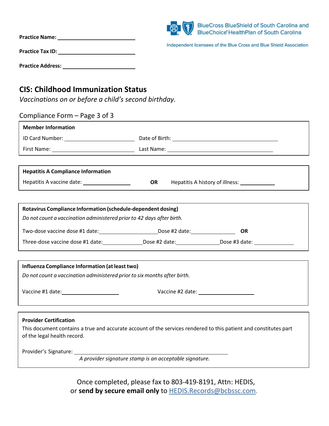| <b>Practice Name:</b>    | <b>BlueCross BlueShield of South Carolina and</b><br>$\circledast$<br>BlueChoice HealthPlan of South Carolina |
|--------------------------|---------------------------------------------------------------------------------------------------------------|
| <b>Practice Tax ID:</b>  | Independent licensees of the Blue Cross and Blue Shield Association                                           |
| <b>Practice Address:</b> |                                                                                                               |

## **CIS: Childhood Immunization Status**

*Vaccinations on or before a child's second birthday.*

| Compliance Form – Page 3 of 3                                                                                                                                                                                                  |    |                                                                                                                  |
|--------------------------------------------------------------------------------------------------------------------------------------------------------------------------------------------------------------------------------|----|------------------------------------------------------------------------------------------------------------------|
| <b>Member Information</b>                                                                                                                                                                                                      |    |                                                                                                                  |
|                                                                                                                                                                                                                                |    |                                                                                                                  |
|                                                                                                                                                                                                                                |    |                                                                                                                  |
|                                                                                                                                                                                                                                |    |                                                                                                                  |
| <b>Hepatitis A Compliance Information</b>                                                                                                                                                                                      |    |                                                                                                                  |
| Hepatitis A vaccine date: ___________________                                                                                                                                                                                  | OR | Hepatitis A history of illness: _____________                                                                    |
|                                                                                                                                                                                                                                |    |                                                                                                                  |
| Rotavirus Compliance Information (schedule-dependent dosing)                                                                                                                                                                   |    |                                                                                                                  |
| Do not count a vaccination administered prior to 42 days after birth.                                                                                                                                                          |    |                                                                                                                  |
| Two-dose vaccine dose #1 date: ______________________________Dose #2 date: _________________________                                                                                                                           |    | <b>OR</b>                                                                                                        |
|                                                                                                                                                                                                                                |    | Three-dose vaccine dose #1 date: _____________________Dose #2 date: ________________________________             |
|                                                                                                                                                                                                                                |    |                                                                                                                  |
| Influenza Compliance Information (at least two)                                                                                                                                                                                |    |                                                                                                                  |
| Do not count a vaccination administered prior to six months after birth.                                                                                                                                                       |    |                                                                                                                  |
| Vaccine #1 date: ________________________                                                                                                                                                                                      |    |                                                                                                                  |
|                                                                                                                                                                                                                                |    |                                                                                                                  |
|                                                                                                                                                                                                                                |    |                                                                                                                  |
| <b>Provider Certification</b>                                                                                                                                                                                                  |    |                                                                                                                  |
| of the legal health record.                                                                                                                                                                                                    |    | This document contains a true and accurate account of the services rendered to this patient and constitutes part |
|                                                                                                                                                                                                                                |    |                                                                                                                  |
| Provider's Signature: Management of the Contract of the Contract of the Contract of the Contract of the Contract of the Contract of the Contract of the Contract of the Contract of the Contract of the Contract of the Contra |    |                                                                                                                  |
| A provider signature stamp is an acceptable signature.                                                                                                                                                                         |    |                                                                                                                  |
|                                                                                                                                                                                                                                |    |                                                                                                                  |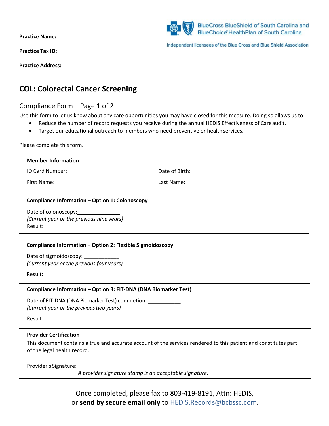| <b>Practice Name:</b>    | (8) | <b>BlueCross BlueShield of South Carolina and</b><br>BlueChoice' HealthPlan of South Carolina |
|--------------------------|-----|-----------------------------------------------------------------------------------------------|
| <b>Practice Tax ID:</b>  |     | Independent licensees of the Blue Cross and Blue Shield Association                           |
| <b>Practice Address:</b> |     |                                                                                               |

# **COL: Colorectal Cancer Screening**

## Compliance Form – Page 1 of 2

Use this form to let us know about any care opportunities you may have closed for this measure. Doing so allows us to:

- Reduce the number of record requests you receive during the annual HEDIS Effectiveness of Careaudit.
- Target our educational outreach to members who need preventive or healthservices.

Please complete this form.

| <b>Member Information</b>                                                        |                                                                                                                  |
|----------------------------------------------------------------------------------|------------------------------------------------------------------------------------------------------------------|
|                                                                                  |                                                                                                                  |
|                                                                                  |                                                                                                                  |
| <b>Compliance Information - Option 1: Colonoscopy</b>                            |                                                                                                                  |
|                                                                                  |                                                                                                                  |
| (Current year or the previous nine years)                                        |                                                                                                                  |
|                                                                                  |                                                                                                                  |
| Compliance Information - Option 2: Flexible Sigmoidoscopy                        |                                                                                                                  |
|                                                                                  |                                                                                                                  |
| Date of sigmoidoscopy: ____________<br>(Current year or the previous four years) |                                                                                                                  |
|                                                                                  |                                                                                                                  |
|                                                                                  |                                                                                                                  |
| Compliance Information - Option 3: FIT-DNA (DNA Biomarker Test)                  |                                                                                                                  |
| Date of FIT-DNA (DNA Biomarker Test) completion: ___________                     |                                                                                                                  |
| (Current year or the previous two years)                                         |                                                                                                                  |
|                                                                                  |                                                                                                                  |
|                                                                                  |                                                                                                                  |
| <b>Provider Certification</b>                                                    |                                                                                                                  |
| of the legal health record.                                                      | This document contains a true and accurate account of the services rendered to this patient and constitutes part |
|                                                                                  |                                                                                                                  |

Provider's Signature:

*A provider signature stamp is an acceptable signature.*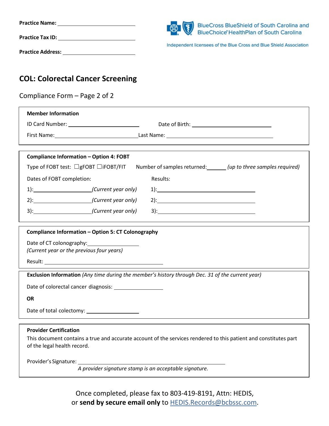| <b>Practice Name:</b>    | ■ ③<br><b>BlueCross BlueShield of South Carolina and</b>                                                       |
|--------------------------|----------------------------------------------------------------------------------------------------------------|
| <b>Practice Tax ID:</b>  | BlueChoice HealthPlan of South Carolina<br>Independent licensees of the Blue Cross and Blue Shield Association |
| <b>Practice Address:</b> |                                                                                                                |

# **COL: Colorectal Cancer Screening**

| Compliance Form – Page 2 of 2                                                                    |                                                                                                                                                                                                                                                                                                                                                                     |
|--------------------------------------------------------------------------------------------------|---------------------------------------------------------------------------------------------------------------------------------------------------------------------------------------------------------------------------------------------------------------------------------------------------------------------------------------------------------------------|
| <b>Member Information</b>                                                                        |                                                                                                                                                                                                                                                                                                                                                                     |
|                                                                                                  |                                                                                                                                                                                                                                                                                                                                                                     |
|                                                                                                  |                                                                                                                                                                                                                                                                                                                                                                     |
| <b>Compliance Information - Option 4: FOBT</b>                                                   |                                                                                                                                                                                                                                                                                                                                                                     |
| Type of FOBT test: $\Box$ gFOBT $\Box$ iFOBT/FIT                                                 | Number of samples returned: _______ (up to three samples required)                                                                                                                                                                                                                                                                                                  |
| Dates of FOBT completion:                                                                        | Results:                                                                                                                                                                                                                                                                                                                                                            |
| 1): (Current year only)                                                                          | $1)$ :                                                                                                                                                                                                                                                                                                                                                              |
| 2): (Current year only)                                                                          | $2)$ :                                                                                                                                                                                                                                                                                                                                                              |
| 3): (Current year only)                                                                          | $\begin{picture}(20,10) \put(0,0){\vector(1,0){100}} \put(15,0){\vector(1,0){100}} \put(15,0){\vector(1,0){100}} \put(15,0){\vector(1,0){100}} \put(15,0){\vector(1,0){100}} \put(15,0){\vector(1,0){100}} \put(15,0){\vector(1,0){100}} \put(15,0){\vector(1,0){100}} \put(15,0){\vector(1,0){100}} \put(15,0){\vector(1,0){100}} \put(15,0){\vector(1,0){100}} \$ |
| Compliance Information - Option 5: CT Colonography                                               |                                                                                                                                                                                                                                                                                                                                                                     |
| (Current year or the previous four years)                                                        |                                                                                                                                                                                                                                                                                                                                                                     |
|                                                                                                  |                                                                                                                                                                                                                                                                                                                                                                     |
| Exclusion Information (Any time during the member's history through Dec. 31 of the current year) |                                                                                                                                                                                                                                                                                                                                                                     |
| Date of colorectal cancer diagnosis: <u>contract of colorectal</u>                               |                                                                                                                                                                                                                                                                                                                                                                     |
| <b>OR</b>                                                                                        |                                                                                                                                                                                                                                                                                                                                                                     |
| Date of total colectomy:                                                                         |                                                                                                                                                                                                                                                                                                                                                                     |

#### **Provider Certification**

This document contains a true and accurate account of the services rendered to this patient and constitutes part of the legal health record.

Provider's Signature:

*A provider signature stamp is an acceptable signature.*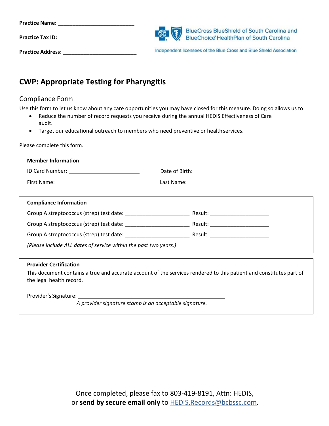| <b>Practice Name:</b>    |                                                                                       |
|--------------------------|---------------------------------------------------------------------------------------|
| <b>Practice Tax ID:</b>  | BlueCross BlueShield of South Carolina and<br>BlueChoice HealthPlan of South Carolina |
| <b>Practice Address:</b> | Independent licensees of the Blue Cross and Blue Shield Association                   |

# **CWP: Appropriate Testing for Pharyngitis**

## Compliance Form

Use this form to let us know about any care opportunities you may have closed for this measure. Doing so allows us to:

- Reduce the number of record requests you receive during the annual HEDIS Effectiveness of Care audit.
- Target our educational outreach to members who need preventive or health services.

Please complete this form.

| <b>Member Information</b>                                        |  |
|------------------------------------------------------------------|--|
| ID Card Number: ____________________________                     |  |
|                                                                  |  |
|                                                                  |  |
| <b>Compliance Information</b>                                    |  |
|                                                                  |  |
|                                                                  |  |
|                                                                  |  |
| (Please include ALL dates of service within the past two years.) |  |
|                                                                  |  |

#### **Provider Certification**

This document contains a true and accurate account of the services rendered to this patient and constitutes part of the legal health record.

Provider's Signature:

*A provider signature stamp is an acceptable signature.*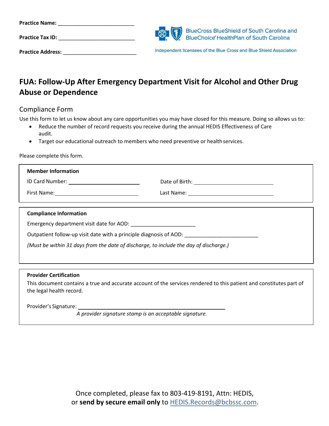| <b>Practice Name:</b>    |                                                                                                                                   |
|--------------------------|-----------------------------------------------------------------------------------------------------------------------------------|
| <b>Practice Tax ID:</b>  | BlueCross BlueShield of South Carolina and<br>BlueChoice HealthPlan of South Carolina<br>BlueChoice' HealthPlan of South Carolina |
| <b>Practice Address:</b> | Independent licensees of the Blue Cross and Blue Shield Association                                                               |

# **FUA: Follow-Up After Emergency Department Visit for Alcohol and Other Drug Abuse or Dependence**

## Compliance Form

Use this form to let us know about any care opportunities you may have closed for this measure. Doing so allows us to:

- Reduce the number of record requests you receive during the annual HEDIS Effectiveness of Care audit.
- Target our educational outreach to members who need preventive or health services.

Please complete this form.

| <b>Member Information</b>                                                             |  |  |
|---------------------------------------------------------------------------------------|--|--|
|                                                                                       |  |  |
|                                                                                       |  |  |
|                                                                                       |  |  |
| <b>Compliance Information</b>                                                         |  |  |
|                                                                                       |  |  |
| Outpatient follow-up visit date with a principle diagnosis of AOD:                    |  |  |
| (Must be within 31 days from the date of discharge, to include the day of discharge.) |  |  |
|                                                                                       |  |  |

#### **Provider Certification**

This document contains a true and accurate account of the services rendered to this patient and constitutes part of the legal health record.

Provider's Signature:

*A provider signature stamp is an acceptable signature.*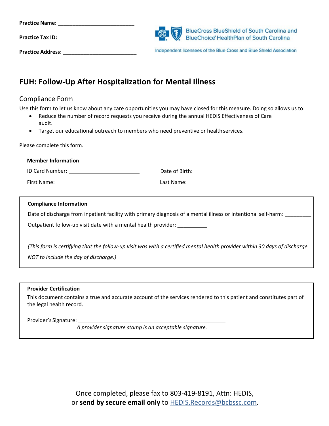| <b>Practice Name:</b>    |                                                                                       |
|--------------------------|---------------------------------------------------------------------------------------|
| <b>Practice Tax ID:</b>  | BlueCross BlueShield of South Carolina and<br>BlueChoice HealthPlan of South Carolina |
| <b>Practice Address:</b> | Independent licensees of the Blue Cross and Blue Shield Association                   |

# **FUH: Follow-Up After Hospitalization for Mental Illness**

## Compliance Form

Use this form to let us know about any care opportunities you may have closed for this measure. Doing so allows us to:

- Reduce the number of record requests you receive during the annual HEDIS Effectiveness of Care audit.
- Target our educational outreach to members who need preventive or health services.

Please complete this form.

| <b>Member Information</b>                                                                                                 |                                                                                                                       |  |
|---------------------------------------------------------------------------------------------------------------------------|-----------------------------------------------------------------------------------------------------------------------|--|
|                                                                                                                           |                                                                                                                       |  |
|                                                                                                                           | Last Name: ___________________________________                                                                        |  |
|                                                                                                                           |                                                                                                                       |  |
| <b>Compliance Information</b>                                                                                             |                                                                                                                       |  |
|                                                                                                                           | Date of discharge from inpatient facility with primary diagnosis of a mental illness or intentional self-harm: ______ |  |
| Outpatient follow-up visit date with a mental health provider:                                                            |                                                                                                                       |  |
|                                                                                                                           |                                                                                                                       |  |
| (This form is certifying that the follow-up visit was with a certified mental health provider within 30 days of discharge |                                                                                                                       |  |
| NOT to include the day of discharge.)                                                                                     |                                                                                                                       |  |
|                                                                                                                           |                                                                                                                       |  |
|                                                                                                                           |                                                                                                                       |  |

#### **Provider Certification**

This document contains a true and accurate account of the services rendered to this patient and constitutes part of the legal health record.

Provider's Signature:

*A provider signature stamp is an acceptable signature.*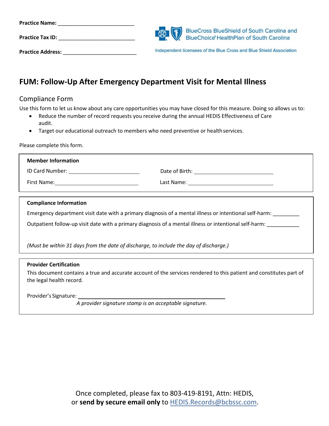| <b>Practice Name:</b>    |                                                                                       |
|--------------------------|---------------------------------------------------------------------------------------|
| <b>Practice Tax ID:</b>  | BlueCross BlueShield of South Carolina and<br>BlueChoice HealthPlan of South Carolina |
| <b>Practice Address:</b> | Independent licensees of the Blue Cross and Blue Shield Association                   |

# **FUM: Follow-Up After Emergency Department Visit for Mental Illness**

## Compliance Form

Use this form to let us know about any care opportunities you may have closed for this measure. Doing so allows us to:

- Reduce the number of record requests you receive during the annual HEDIS Effectiveness of Care audit.
- Target our educational outreach to members who need preventive or health services.

Please complete this form.

| <b>Member Information</b> |                                                                                                                |
|---------------------------|----------------------------------------------------------------------------------------------------------------|
| ID Card Number:           | Date of Birth:                                                                                                 |
| First Name:               | Last Name: The contract of the contract of the contract of the contract of the contract of the contract of the |
|                           |                                                                                                                |

#### **Compliance Information**

Emergency department visit date with a primary diagnosis of a mental illness or intentional self-harm: \_\_\_\_\_\_

Outpatient follow-up visit date with a primary diagnosis of a mental illness or intentional self-harm:

*(Must be within 31 days from the date of discharge, to include the day of discharge.)* 

#### **Provider Certification**

This document contains a true and accurate account of the services rendered to this patient and constitutes part of the legal health record.

Provider's Signature:

*A provider signature stamp is an acceptable signature.*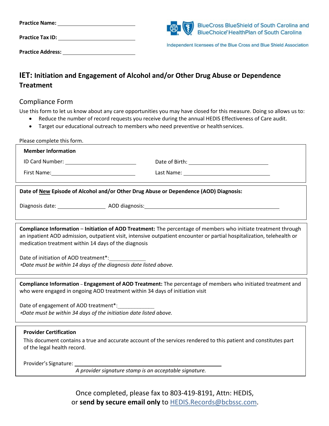| <b>Practice Name:</b>    | BlueCross BlueShield of South Carolina and<br>BlueChoice HealthPlan of South Carolina |
|--------------------------|---------------------------------------------------------------------------------------|
| <b>Practice Tax ID:</b>  | Independent licensees of the Blue Cross and Blue Shield Association                   |
| <b>Practice Address:</b> |                                                                                       |

# **IET: Initiation and Engagement of Alcohol and/or Other Drug Abuse or Dependence Treatment**

#### Compliance Form

Use this form to let us know about any care opportunities you may have closed for this measure. Doing so allows us to:

- Reduce the number of record requests you receive during the annual HEDIS Effectiveness of Care audit.
- Target our educational outreach to members who need preventive or healthservices.

Please complete this form.

| <b>Member Information</b>                                                                                                                                                                                                                                                                        |  |  |
|--------------------------------------------------------------------------------------------------------------------------------------------------------------------------------------------------------------------------------------------------------------------------------------------------|--|--|
|                                                                                                                                                                                                                                                                                                  |  |  |
| First Name: Name: Name and Security Assembly Prince and Security Assembly Assembly Assembly Assembly                                                                                                                                                                                             |  |  |
| Date of New Episode of Alcohol and/or Other Drug Abuse or Dependence (AOD) Diagnosis:                                                                                                                                                                                                            |  |  |
|                                                                                                                                                                                                                                                                                                  |  |  |
| Compliance Information - Initiation of AOD Treatment: The percentage of members who initiate treatment through<br>an inpatient AOD admission, outpatient visit, intensive outpatient encounter or partial hospitalization, telehealth or<br>medication treatment within 14 days of the diagnosis |  |  |
| Date of initiation of AOD treatment*:<br>*Date must be within 14 days of the diagnosis date listed above.                                                                                                                                                                                        |  |  |
| Compliance Information – Engagement of AOD Treatment: The percentage of members who initiated treatment and<br>who were engaged in ongoing AOD treatment within 34 days of initiation visit                                                                                                      |  |  |
| Date of engagement of AOD treatment*:<br>*Date must be within 34 days of the initiation date listed above.                                                                                                                                                                                       |  |  |
| <b>Provider Certification</b><br>This document contains a true and accurate account of the services rendered to this patient and constitutes part<br>of the legal health record.                                                                                                                 |  |  |
| Provider's Signature: 1997<br>A provider signature stamp is an acceptable signature.                                                                                                                                                                                                             |  |  |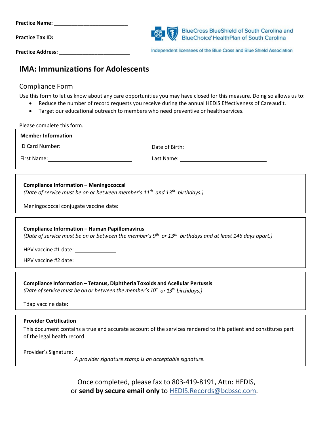| <b>Practice Name:</b>    |                                                                                                                                   |
|--------------------------|-----------------------------------------------------------------------------------------------------------------------------------|
| <b>Practice Tax ID:</b>  | BlueCross BlueShield of South Carolina and<br>BlueChoice HealthPlan of South Carolina<br>BlueChoice' HealthPlan of South Carolina |
| <b>Practice Address:</b> | Independent licensees of the Blue Cross and Blue Shield Association                                                               |

# **IMA: Immunizations for Adolescents**

## Compliance Form

Use this form to let us know about any care opportunities you may have closed for this measure. Doing so allows us to:

- Reduce the number of record requests you receive during the annual HEDIS Effectiveness of Careaudit.
- Target our educational outreach to members who need preventive or healthservices.

| Please complete this form.                                                                                                                                                                                                                                 |  |  |
|------------------------------------------------------------------------------------------------------------------------------------------------------------------------------------------------------------------------------------------------------------|--|--|
| <b>Member Information</b>                                                                                                                                                                                                                                  |  |  |
|                                                                                                                                                                                                                                                            |  |  |
| First Name: The Communication of the Communication of the Communication of the Communication of the Communication of the Communication of the Communication of the Communication of the Communication of the Communication of                              |  |  |
| <b>Compliance Information - Meningococcal</b><br>(Date of service must be on or between member's 11 <sup>th</sup> and 13 <sup>th</sup> birthdays.)                                                                                                         |  |  |
| <b>Compliance Information - Human Papillomavirus</b><br>(Date of service must be on or between the member's $9^{th}$ or $13^{th}$ birthdays and at least 146 days apart.)<br>HPV vaccine #1 date: ________________<br>HPV vaccine #2 date: _______________ |  |  |
| Compliance Information - Tetanus, Diphtheria Toxoids and Acellular Pertussis<br>(Date of service must be on or between the member's 10 <sup>th</sup> or 13 <sup>th</sup> birthdays.)                                                                       |  |  |
| <b>Provider Certification</b><br>This document contains a true and accurate account of the services rendered to this patient and constitutes part<br>of the legal health record.                                                                           |  |  |
| A provider signature stamp is an acceptable signature.                                                                                                                                                                                                     |  |  |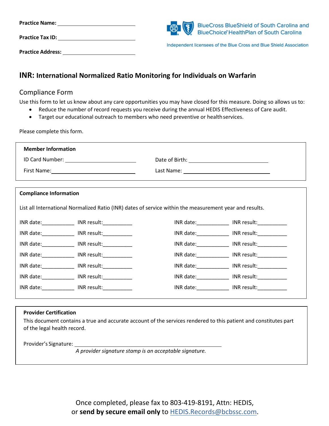| <b>Practice Name:</b>    | BlueCross BlueShield of South Carolina and<br>BlueChoice HealthPlan of South Carolina |
|--------------------------|---------------------------------------------------------------------------------------|
| <b>Practice Tax ID:</b>  | Independent licensees of the Blue Cross and Blue Shield Association                   |
| <b>Practice Address:</b> |                                                                                       |

## **INR: International Normalized Ratio Monitoring for Individuals on Warfarin**

#### Compliance Form

Use this form to let us know about any care opportunities you may have closed for this measure. Doing so allows us to:

- Reduce the number of record requests you receive during the annual HEDIS Effectiveness of Care audit.
- Target our educational outreach to members who need preventive or health services.

Please complete this form.

| <b>Member Information</b>                          |  |
|----------------------------------------------------|--|
| ID Card Number: The Card State of the Card Number: |  |
| First Name:                                        |  |
|                                                    |  |

| <b>Compliance Information</b>                                                                           |                                               |                                                                                                                                                                                                                                |                                                                                                                                                                                                                                |
|---------------------------------------------------------------------------------------------------------|-----------------------------------------------|--------------------------------------------------------------------------------------------------------------------------------------------------------------------------------------------------------------------------------|--------------------------------------------------------------------------------------------------------------------------------------------------------------------------------------------------------------------------------|
| List all International Normalized Ratio (INR) dates of service within the measurement year and results. |                                               |                                                                                                                                                                                                                                |                                                                                                                                                                                                                                |
|                                                                                                         | INR date: INR result:                         |                                                                                                                                                                                                                                | INR date: INR result:                                                                                                                                                                                                          |
|                                                                                                         | INR date: INR result:                         |                                                                                                                                                                                                                                | INR date: INR result:                                                                                                                                                                                                          |
|                                                                                                         | INR date: _____________ INR result:__________ |                                                                                                                                                                                                                                | INR date: INR result:                                                                                                                                                                                                          |
|                                                                                                         | INR date: INR result:                         |                                                                                                                                                                                                                                | INR date: INR result:                                                                                                                                                                                                          |
|                                                                                                         | INR date: INR result:                         | INR date: and the same of the same of the same of the same of the same of the same of the same of the same of the same of the same of the same of the same of the same of the same of the same of the same of the same of the  | INR result: The state of the state of the state of the state of the state of the state of the state of the state of the state of the state of the state of the state of the state of the state of the state of the state of th |
|                                                                                                         | INR date: _____________ INR result:__________ | INR date: and the state of the state of the state of the state of the state of the state of the state of the state of the state of the state of the state of the state of the state of the state of the state of the state of  | INR result:                                                                                                                                                                                                                    |
|                                                                                                         | INR date: INR result:                         | INR date: The control of the control of the control of the control of the control of the control of the control of the control of the control of the control of the control of the control of the control of the control of th | INR result:                                                                                                                                                                                                                    |
|                                                                                                         |                                               |                                                                                                                                                                                                                                |                                                                                                                                                                                                                                |

#### **Provider Certification**

This document contains a true and accurate account of the services rendered to this patient and constitutes part of the legal health record.

Provider's Signature:

*A provider signature stamp is an acceptable signature.*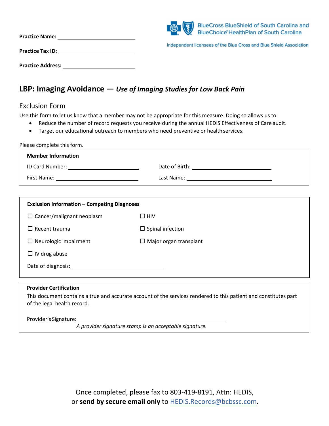| <b>Practice Name:</b>    | <b>BlueCross BlueShield of South Carolina and</b><br>BlueChoice' HealthPlan of South Carolina |
|--------------------------|-----------------------------------------------------------------------------------------------|
| <b>Practice Tax ID:</b>  | Independent licensees of the Blue Cross and Blue Shield Association                           |
| <b>Practice Address:</b> |                                                                                               |

## **LBP: Imaging Avoidance —** *Use of Imaging Studies for Low Back Pain*

#### Exclusion Form

Use this form to let us know that a member may not be appropriate for this measure. Doing so allows us to:

- Reduce the number of record requests you receive during the annual HEDIS Effectiveness of Care audit.
- Target our educational outreach to members who need preventive or healthservices.

| Please complete this form.                         |                                       |  |
|----------------------------------------------------|---------------------------------------|--|
| <b>Member Information</b>                          |                                       |  |
| ID Card Number: The Card State of the Card Number: | Date of Birth: The Contract of Birth: |  |
| First Name: _________________________              | Last Name: _________________________  |  |

| <b>Exclusion Information - Competing Diagnoses</b> |                               |  |
|----------------------------------------------------|-------------------------------|--|
| $\Box$ Cancer/malignant neoplasm                   | $\Box$ HIV                    |  |
| $\Box$ Recent trauma                               | $\Box$ Spinal infection       |  |
| $\Box$ Neurologic impairment                       | $\Box$ Major organ transplant |  |
| $\Box$ IV drug abuse                               |                               |  |
| Date of diagnosis:                                 |                               |  |
|                                                    |                               |  |
| <b>Provider Certification</b>                      |                               |  |

This document contains a true and accurate account of the services rendered to this patient and constitutes part of the legal health record.

Provider's Signature:

*A provider signature stamp is an acceptable signature.*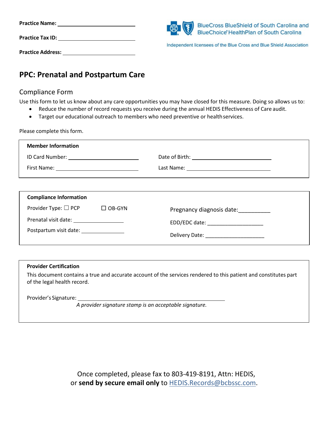| <b>Practice Name:</b>    | BlueCross BlueShield of South Carolina and<br>BlueChoice HealthPlan of South Carolina<br>BlueChoice <sup>®</sup> HealthPlan of South Carolina |
|--------------------------|-----------------------------------------------------------------------------------------------------------------------------------------------|
| <b>Practice Tax ID:</b>  | Independent licensees of the Blue Cross and Blue Shield Association                                                                           |
| <b>Practice Address:</b> |                                                                                                                                               |

# **PPC: Prenatal and Postpartum Care**

## Compliance Form

Use this form to let us know about any care opportunities you may have closed for this measure. Doing so allows us to:

- Reduce the number of record requests you receive during the annual HEDIS Effectiveness of Care audit.
- Target our educational outreach to members who need preventive or healthservices.

Please complete this form.

| <b>Member Information</b>                      |  |
|------------------------------------------------|--|
| ID Card Number: <u>_______________________</u> |  |
|                                                |  |
|                                                |  |

| <b>Compliance Information</b>             |               |                                    |
|-------------------------------------------|---------------|------------------------------------|
| Provider Type: $\square$ PCP              | $\Box$ OB-GYN | Pregnancy diagnosis date:          |
| Prenatal visit date: ____________________ |               | EDD/EDC date: ____________________ |
| Postpartum visit date:                    |               |                                    |

| <b>Provider Certification</b>                                                                                                                   |
|-------------------------------------------------------------------------------------------------------------------------------------------------|
| This document contains a true and accurate account of the services rendered to this patient and constitutes part<br>of the legal health record. |
| Provider's Signature:<br>A provider cianature stamp is an accontable signature.                                                                 |

*A provider signature stamp is an acceptable signature.*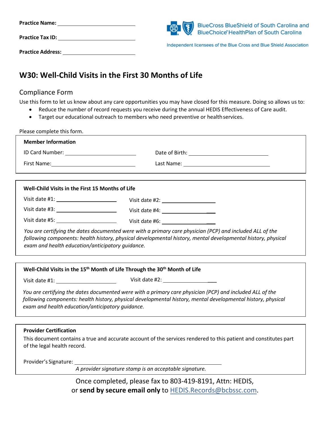| <b>Practice Name:</b>    | BlueCross BlueShield of South Carolina and<br>BlueChoice HealthPlan of South Carolina |
|--------------------------|---------------------------------------------------------------------------------------|
| <b>Practice Tax ID:</b>  | Independent licensees of the Blue Cross and Blue Shield Association                   |
| <b>Practice Address:</b> |                                                                                       |

# **W30: Well-Child Visits in the First 30 Months of Life**

## Compliance Form

Use this form to let us know about any care opportunities you may have closed for this measure. Doing so allows us to:

- Reduce the number of record requests you receive during the annual HEDIS Effectiveness of Care audit.
- Target our educational outreach to members who need preventive or health services.

| ID Card Number: ____________________________                                                                                                                                                                                                                                 |
|------------------------------------------------------------------------------------------------------------------------------------------------------------------------------------------------------------------------------------------------------------------------------|
|                                                                                                                                                                                                                                                                              |
|                                                                                                                                                                                                                                                                              |
| Well-Child Visits in the First 15 Months of Life                                                                                                                                                                                                                             |
|                                                                                                                                                                                                                                                                              |
|                                                                                                                                                                                                                                                                              |
|                                                                                                                                                                                                                                                                              |
| You are certifying the dates documented were with a primary care physician (PCP) and included ALL of the<br>following components: health history, physical developmental history, mental developmental history, physical<br>exam and health education/anticipatory quidance. |
|                                                                                                                                                                                                                                                                              |
|                                                                                                                                                                                                                                                                              |

**Well-Child Visits in the 15th Month of Life Through the 30th Month of Life**

Visit date #1: Visit date #2: \_\_\_

*You are certifying the dates documented were with a primary care physician (PCP) and included ALL of the following components: health history, physical developmental history, mental developmental history, physical exam and health education/anticipatory guidance.* 

#### **Provider Certification**

This document contains a true and accurate account of the services rendered to this patient and constitutes part of the legal health record.

Provider's Signature:

*A provider signature stamp is an acceptable signature.*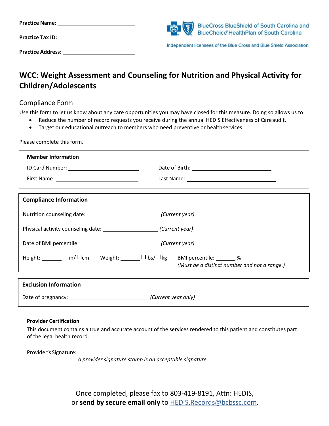| <b>Practice Name:</b>    | BlueCross BlueShield of South Carolina and<br>BlueChoice HealthPlan of South Carolina |
|--------------------------|---------------------------------------------------------------------------------------|
| <b>Practice Tax ID:</b>  | Independent licensees of the Blue Cross and Blue Shield Association                   |
| <b>Practice Address:</b> |                                                                                       |

# **WCC: Weight Assessment and Counseling for Nutrition and Physical Activity for Children/Adolescents**

## Compliance Form

Use this form to let us know about any care opportunities you may have closed for this measure. Doing so allows us to:

- Reduce the number of record requests you receive during the annual HEDIS Effectiveness of Careaudit.
- Target our educational outreach to members who need preventive or health services.

Please complete this form.

| <b>Member Information</b>                                                                  |                                                                                                                  |
|--------------------------------------------------------------------------------------------|------------------------------------------------------------------------------------------------------------------|
|                                                                                            |                                                                                                                  |
|                                                                                            |                                                                                                                  |
|                                                                                            |                                                                                                                  |
| <b>Compliance Information</b>                                                              |                                                                                                                  |
| Nutrition counseling date: ________________________________(Current year)                  |                                                                                                                  |
|                                                                                            |                                                                                                                  |
|                                                                                            |                                                                                                                  |
| Height: $\Box$ in/ $\Box$ cm Weight: $\Box$ $\Box$ lbs/ $\Box$ kg BMI percentile: $\Box$ % | (Must be a distinct number and not a range.)                                                                     |
| <b>Exclusion Information</b>                                                               |                                                                                                                  |
| Date of pregnancy: ___________________________________(Current year only)                  |                                                                                                                  |
|                                                                                            |                                                                                                                  |
| <b>Provider Certification</b>                                                              |                                                                                                                  |
| of the legal health record.                                                                | This document contains a true and accurate account of the services rendered to this patient and constitutes part |
|                                                                                            |                                                                                                                  |
| A provider signature stamp is an acceptable signature.                                     |                                                                                                                  |